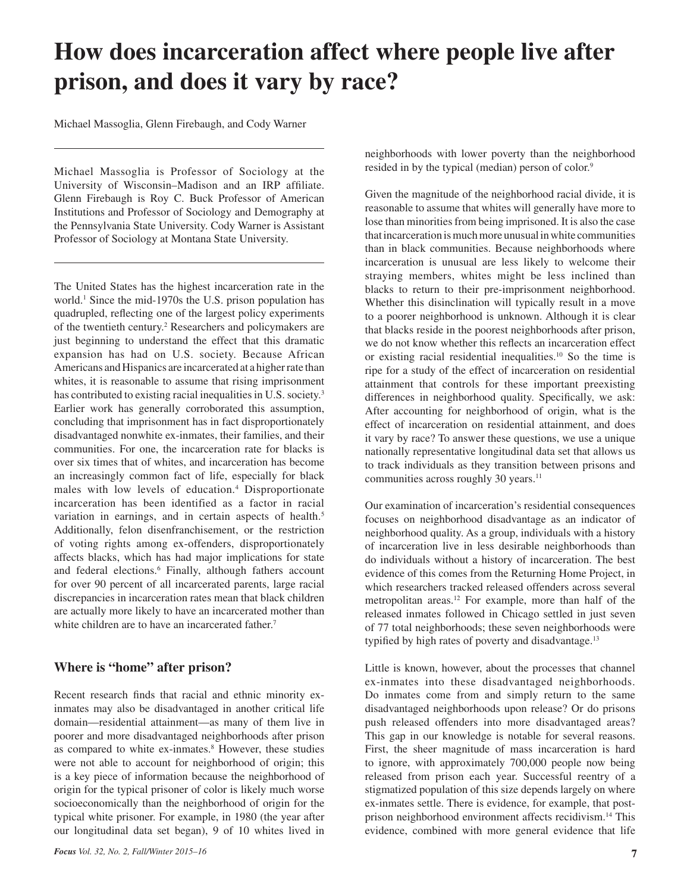# **How does incarceration affect where people live after prison, and does it vary by race?**

Michael Massoglia, Glenn Firebaugh, and Cody Warner

Michael Massoglia is Professor of Sociology at the University of Wisconsin–Madison and an IRP affiliate. Glenn Firebaugh is Roy C. Buck Professor of American Institutions and Professor of Sociology and Demography at the Pennsylvania State University. Cody Warner is Assistant Professor of Sociology at Montana State University.

The United States has the highest incarceration rate in the world.<sup>1</sup> Since the mid-1970s the U.S. prison population has quadrupled, reflecting one of the largest policy experiments of the twentieth century.<sup>2</sup> Researchers and policymakers are just beginning to understand the effect that this dramatic expansion has had on U.S. society. Because African Americans and Hispanics are incarcerated at a higher rate than whites, it is reasonable to assume that rising imprisonment has contributed to existing racial inequalities in U.S. society.<sup>3</sup> Earlier work has generally corroborated this assumption, concluding that imprisonment has in fact disproportionately disadvantaged nonwhite ex-inmates, their families, and their communities. For one, the incarceration rate for blacks is over six times that of whites, and incarceration has become an increasingly common fact of life, especially for black males with low levels of education.4 Disproportionate incarceration has been identified as a factor in racial variation in earnings, and in certain aspects of health.<sup>5</sup> Additionally, felon disenfranchisement, or the restriction of voting rights among ex-offenders, disproportionately affects blacks, which has had major implications for state and federal elections.<sup>6</sup> Finally, although fathers account for over 90 percent of all incarcerated parents, large racial discrepancies in incarceration rates mean that black children are actually more likely to have an incarcerated mother than white children are to have an incarcerated father.<sup>7</sup>

## **Where is "home" after prison?**

Recent research finds that racial and ethnic minority exinmates may also be disadvantaged in another critical life domain—residential attainment—as many of them live in poorer and more disadvantaged neighborhoods after prison as compared to white ex-inmates.<sup>8</sup> However, these studies were not able to account for neighborhood of origin; this is a key piece of information because the neighborhood of origin for the typical prisoner of color is likely much worse socioeconomically than the neighborhood of origin for the typical white prisoner. For example, in 1980 (the year after our longitudinal data set began), 9 of 10 whites lived in

neighborhoods with lower poverty than the neighborhood resided in by the typical (median) person of color.<sup>9</sup>

Given the magnitude of the neighborhood racial divide, it is reasonable to assume that whites will generally have more to lose than minorities from being imprisoned. It is also the case that incarceration is much more unusual in white communities than in black communities. Because neighborhoods where incarceration is unusual are less likely to welcome their straying members, whites might be less inclined than blacks to return to their pre-imprisonment neighborhood. Whether this disinclination will typically result in a move to a poorer neighborhood is unknown. Although it is clear that blacks reside in the poorest neighborhoods after prison, we do not know whether this reflects an incarceration effect or existing racial residential inequalities.10 So the time is ripe for a study of the effect of incarceration on residential attainment that controls for these important preexisting differences in neighborhood quality. Specifically, we ask: After accounting for neighborhood of origin, what is the effect of incarceration on residential attainment, and does it vary by race? To answer these questions, we use a unique nationally representative longitudinal data set that allows us to track individuals as they transition between prisons and communities across roughly 30 years.<sup>11</sup>

Our examination of incarceration's residential consequences focuses on neighborhood disadvantage as an indicator of neighborhood quality. As a group, individuals with a history of incarceration live in less desirable neighborhoods than do individuals without a history of incarceration. The best evidence of this comes from the Returning Home Project, in which researchers tracked released offenders across several metropolitan areas.12 For example, more than half of the released inmates followed in Chicago settled in just seven of 77 total neighborhoods; these seven neighborhoods were typified by high rates of poverty and disadvantage.<sup>13</sup>

Little is known, however, about the processes that channel ex-inmates into these disadvantaged neighborhoods. Do inmates come from and simply return to the same disadvantaged neighborhoods upon release? Or do prisons push released offenders into more disadvantaged areas? This gap in our knowledge is notable for several reasons. First, the sheer magnitude of mass incarceration is hard to ignore, with approximately 700,000 people now being released from prison each year. Successful reentry of a stigmatized population of this size depends largely on where ex-inmates settle. There is evidence, for example, that postprison neighborhood environment affects recidivism.14 This evidence, combined with more general evidence that life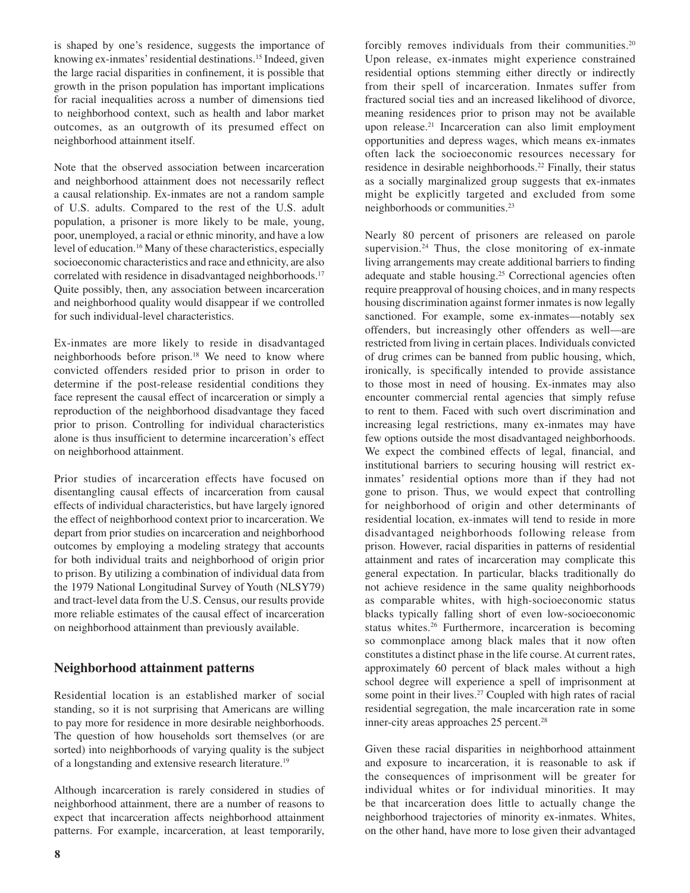is shaped by one's residence, suggests the importance of knowing ex-inmates' residential destinations.15 Indeed, given the large racial disparities in confinement, it is possible that growth in the prison population has important implications for racial inequalities across a number of dimensions tied to neighborhood context, such as health and labor market outcomes, as an outgrowth of its presumed effect on neighborhood attainment itself.

Note that the observed association between incarceration and neighborhood attainment does not necessarily reflect a causal relationship. Ex-inmates are not a random sample of U.S. adults. Compared to the rest of the U.S. adult population, a prisoner is more likely to be male, young, poor, unemployed, a racial or ethnic minority, and have a low level of education.16 Many of these characteristics, especially socioeconomic characteristics and race and ethnicity, are also correlated with residence in disadvantaged neighborhoods.<sup>17</sup> Quite possibly, then, any association between incarceration and neighborhood quality would disappear if we controlled for such individual-level characteristics.

Ex-inmates are more likely to reside in disadvantaged neighborhoods before prison.<sup>18</sup> We need to know where convicted offenders resided prior to prison in order to determine if the post-release residential conditions they face represent the causal effect of incarceration or simply a reproduction of the neighborhood disadvantage they faced prior to prison. Controlling for individual characteristics alone is thus insufficient to determine incarceration's effect on neighborhood attainment.

Prior studies of incarceration effects have focused on disentangling causal effects of incarceration from causal effects of individual characteristics, but have largely ignored the effect of neighborhood context prior to incarceration. We depart from prior studies on incarceration and neighborhood outcomes by employing a modeling strategy that accounts for both individual traits and neighborhood of origin prior to prison. By utilizing a combination of individual data from the 1979 National Longitudinal Survey of Youth (NLSY79) and tract-level data from the U.S. Census, our results provide more reliable estimates of the causal effect of incarceration on neighborhood attainment than previously available.

## **Neighborhood attainment patterns**

Residential location is an established marker of social standing, so it is not surprising that Americans are willing to pay more for residence in more desirable neighborhoods. The question of how households sort themselves (or are sorted) into neighborhoods of varying quality is the subject of a longstanding and extensive research literature.19

Although incarceration is rarely considered in studies of neighborhood attainment, there are a number of reasons to expect that incarceration affects neighborhood attainment patterns. For example, incarceration, at least temporarily,

**8**

forcibly removes individuals from their communities.<sup>20</sup> Upon release, ex-inmates might experience constrained residential options stemming either directly or indirectly from their spell of incarceration. Inmates suffer from fractured social ties and an increased likelihood of divorce, meaning residences prior to prison may not be available upon release.<sup>21</sup> Incarceration can also limit employment opportunities and depress wages, which means ex-inmates often lack the socioeconomic resources necessary for residence in desirable neighborhoods.<sup>22</sup> Finally, their status as a socially marginalized group suggests that ex-inmates might be explicitly targeted and excluded from some neighborhoods or communities.23

Nearly 80 percent of prisoners are released on parole supervision. $24$  Thus, the close monitoring of ex-inmate living arrangements may create additional barriers to finding adequate and stable housing.<sup>25</sup> Correctional agencies often require preapproval of housing choices, and in many respects housing discrimination against former inmates is now legally sanctioned. For example, some ex-inmates—notably sex offenders, but increasingly other offenders as well—are restricted from living in certain places. Individuals convicted of drug crimes can be banned from public housing, which, ironically, is specifically intended to provide assistance to those most in need of housing. Ex-inmates may also encounter commercial rental agencies that simply refuse to rent to them. Faced with such overt discrimination and increasing legal restrictions, many ex-inmates may have few options outside the most disadvantaged neighborhoods. We expect the combined effects of legal, financial, and institutional barriers to securing housing will restrict exinmates' residential options more than if they had not gone to prison. Thus, we would expect that controlling for neighborhood of origin and other determinants of residential location, ex-inmates will tend to reside in more disadvantaged neighborhoods following release from prison. However, racial disparities in patterns of residential attainment and rates of incarceration may complicate this general expectation. In particular, blacks traditionally do not achieve residence in the same quality neighborhoods as comparable whites, with high-socioeconomic status blacks typically falling short of even low-socioeconomic status whites.<sup>26</sup> Furthermore, incarceration is becoming so commonplace among black males that it now often constitutes a distinct phase in the life course. At current rates, approximately 60 percent of black males without a high school degree will experience a spell of imprisonment at some point in their lives.<sup>27</sup> Coupled with high rates of racial residential segregation, the male incarceration rate in some inner-city areas approaches 25 percent.<sup>28</sup>

Given these racial disparities in neighborhood attainment and exposure to incarceration, it is reasonable to ask if the consequences of imprisonment will be greater for individual whites or for individual minorities. It may be that incarceration does little to actually change the neighborhood trajectories of minority ex-inmates. Whites, on the other hand, have more to lose given their advantaged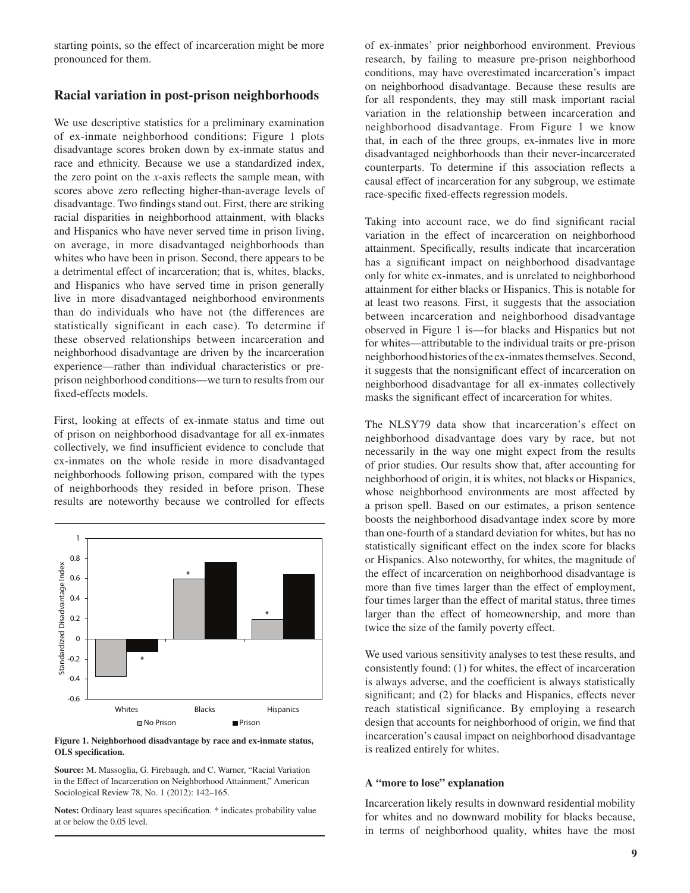starting points, so the effect of incarceration might be more pronounced for them.

## **Racial variation in post-prison neighborhoods**

We use descriptive statistics for a preliminary examination of ex-inmate neighborhood conditions; Figure 1 plots disadvantage scores broken down by ex-inmate status and race and ethnicity. Because we use a standardized index, the zero point on the *x*-axis reflects the sample mean, with scores above zero reflecting higher-than-average levels of disadvantage. Two findings stand out. First, there are striking racial disparities in neighborhood attainment, with blacks and Hispanics who have never served time in prison living, on average, in more disadvantaged neighborhoods than whites who have been in prison. Second, there appears to be a detrimental effect of incarceration; that is, whites, blacks, and Hispanics who have served time in prison generally live in more disadvantaged neighborhood environments than do individuals who have not (the differences are statistically significant in each case). To determine if these observed relationships between incarceration and neighborhood disadvantage are driven by the incarceration experience—rather than individual characteristics or preprison neighborhood conditions—we turn to results from our fixed-effects models.

First, looking at effects of ex-inmate status and time out of prison on neighborhood disadvantage for all ex-inmates collectively, we find insufficient evidence to conclude that ex-inmates on the whole reside in more disadvantaged neighborhoods following prison, compared with the types of neighborhoods they resided in before prison. These results are noteworthy because we controlled for effects



**Figure 1. Neighborhood disadvantage by race and ex-inmate status, OLS specification.**

**Source:** M. Massoglia, G. Firebaugh, and C. Warner, "Racial Variation in the Effect of Incarceration on Neighborhood Attainment," American Sociological Review 78, No. 1 (2012): 142–165.

**Notes:** Ordinary least squares specification. \* indicates probability value at or below the 0.05 level.

of ex-inmates' prior neighborhood environment. Previous research, by failing to measure pre-prison neighborhood conditions, may have overestimated incarceration's impact on neighborhood disadvantage. Because these results are for all respondents, they may still mask important racial variation in the relationship between incarceration and neighborhood disadvantage. From Figure 1 we know that, in each of the three groups, ex-inmates live in more disadvantaged neighborhoods than their never-incarcerated counterparts. To determine if this association reflects a causal effect of incarceration for any subgroup, we estimate race-specific fixed-effects regression models.

Taking into account race, we do find significant racial variation in the effect of incarceration on neighborhood attainment. Specifically, results indicate that incarceration has a significant impact on neighborhood disadvantage only for white ex-inmates, and is unrelated to neighborhood attainment for either blacks or Hispanics. This is notable for at least two reasons. First, it suggests that the association between incarceration and neighborhood disadvantage observed in Figure 1 is—for blacks and Hispanics but not for whites—attributable to the individual traits or pre-prison neighborhood histories of the ex-inmates themselves. Second, it suggests that the nonsignificant effect of incarceration on neighborhood disadvantage for all ex-inmates collectively masks the significant effect of incarceration for whites.

The NLSY79 data show that incarceration's effect on neighborhood disadvantage does vary by race, but not necessarily in the way one might expect from the results of prior studies. Our results show that, after accounting for neighborhood of origin, it is whites, not blacks or Hispanics, whose neighborhood environments are most affected by a prison spell. Based on our estimates, a prison sentence boosts the neighborhood disadvantage index score by more than one-fourth of a standard deviation for whites, but has no statistically significant effect on the index score for blacks or Hispanics. Also noteworthy, for whites, the magnitude of the effect of incarceration on neighborhood disadvantage is more than five times larger than the effect of employment, four times larger than the effect of marital status, three times larger than the effect of homeownership, and more than twice the size of the family poverty effect.

We used various sensitivity analyses to test these results, and consistently found: (1) for whites, the effect of incarceration is always adverse, and the coefficient is always statistically significant; and (2) for blacks and Hispanics, effects never reach statistical significance. By employing a research design that accounts for neighborhood of origin, we find that incarceration's causal impact on neighborhood disadvantage is realized entirely for whites.

#### **A "more to lose" explanation**

Incarceration likely results in downward residential mobility for whites and no downward mobility for blacks because, in terms of neighborhood quality, whites have the most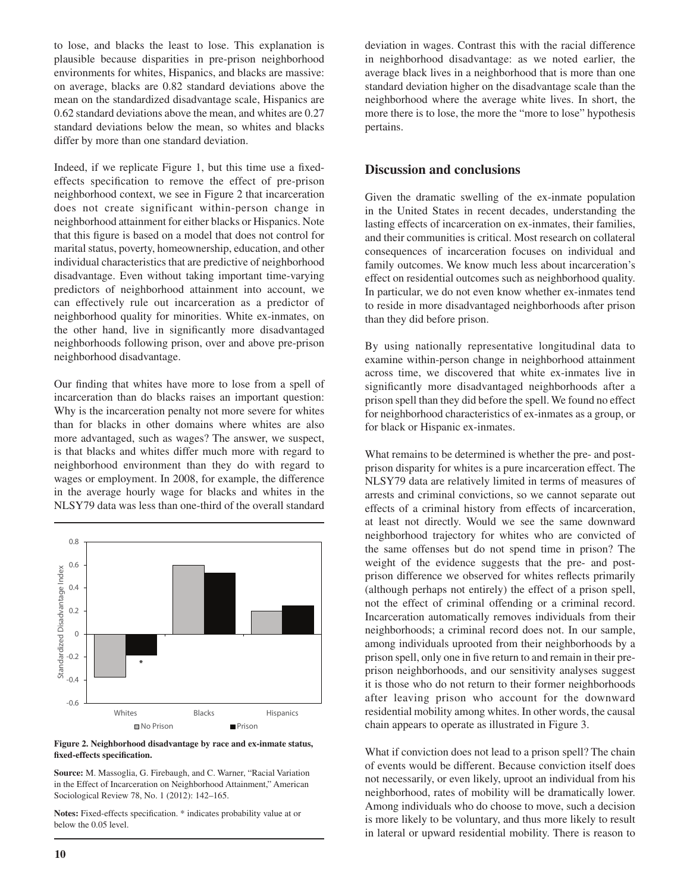to lose, and blacks the least to lose. This explanation is plausible because disparities in pre-prison neighborhood environments for whites, Hispanics, and blacks are massive: on average, blacks are 0.82 standard deviations above the mean on the standardized disadvantage scale, Hispanics are 0.62 standard deviations above the mean, and whites are 0.27 standard deviations below the mean, so whites and blacks differ by more than one standard deviation.

Indeed, if we replicate Figure 1, but this time use a fixedeffects specification to remove the effect of pre-prison neighborhood context, we see in Figure 2 that incarceration does not create significant within-person change in neighborhood attainment for either blacks or Hispanics. Note that this figure is based on a model that does not control for marital status, poverty, homeownership, education, and other individual characteristics that are predictive of neighborhood disadvantage. Even without taking important time-varying predictors of neighborhood attainment into account, we can effectively rule out incarceration as a predictor of neighborhood quality for minorities. White ex-inmates, on the other hand, live in significantly more disadvantaged neighborhoods following prison, over and above pre-prison neighborhood disadvantage.

Our finding that whites have more to lose from a spell of incarceration than do blacks raises an important question: Why is the incarceration penalty not more severe for whites than for blacks in other domains where whites are also more advantaged, such as wages? The answer, we suspect, is that blacks and whites differ much more with regard to neighborhood environment than they do with regard to wages or employment. In 2008, for example, the difference in the average hourly wage for blacks and whites in the NLSY79 data was less than one-third of the overall standard



**Figure 2. Neighborhood disadvantage by race and ex-inmate status, fixed-effects specification.**

**Source:** M. Massoglia, G. Firebaugh, and C. Warner, "Racial Variation in the Effect of Incarceration on Neighborhood Attainment," American Sociological Review 78, No. 1 (2012): 142–165.

**Notes:** Fixed-effects specification. \* indicates probability value at or below the 0.05 level.

deviation in wages. Contrast this with the racial difference in neighborhood disadvantage: as we noted earlier, the average black lives in a neighborhood that is more than one standard deviation higher on the disadvantage scale than the neighborhood where the average white lives. In short, the more there is to lose, the more the "more to lose" hypothesis pertains.

# **Discussion and conclusions**

Given the dramatic swelling of the ex-inmate population in the United States in recent decades, understanding the lasting effects of incarceration on ex-inmates, their families, and their communities is critical. Most research on collateral consequences of incarceration focuses on individual and family outcomes. We know much less about incarceration's effect on residential outcomes such as neighborhood quality. In particular, we do not even know whether ex-inmates tend to reside in more disadvantaged neighborhoods after prison than they did before prison.

By using nationally representative longitudinal data to examine within-person change in neighborhood attainment across time, we discovered that white ex-inmates live in significantly more disadvantaged neighborhoods after a prison spell than they did before the spell. We found no effect for neighborhood characteristics of ex-inmates as a group, or for black or Hispanic ex-inmates.

What remains to be determined is whether the pre- and postprison disparity for whites is a pure incarceration effect. The NLSY79 data are relatively limited in terms of measures of arrests and criminal convictions, so we cannot separate out effects of a criminal history from effects of incarceration, at least not directly. Would we see the same downward neighborhood trajectory for whites who are convicted of the same offenses but do not spend time in prison? The weight of the evidence suggests that the pre- and postprison difference we observed for whites reflects primarily (although perhaps not entirely) the effect of a prison spell, not the effect of criminal offending or a criminal record. Incarceration automatically removes individuals from their neighborhoods; a criminal record does not. In our sample, among individuals uprooted from their neighborhoods by a prison spell, only one in five return to and remain in their preprison neighborhoods, and our sensitivity analyses suggest it is those who do not return to their former neighborhoods after leaving prison who account for the downward residential mobility among whites. In other words, the causal chain appears to operate as illustrated in Figure 3.

What if conviction does not lead to a prison spell? The chain of events would be different. Because conviction itself does not necessarily, or even likely, uproot an individual from his neighborhood, rates of mobility will be dramatically lower. Among individuals who do choose to move, such a decision is more likely to be voluntary, and thus more likely to result in lateral or upward residential mobility. There is reason to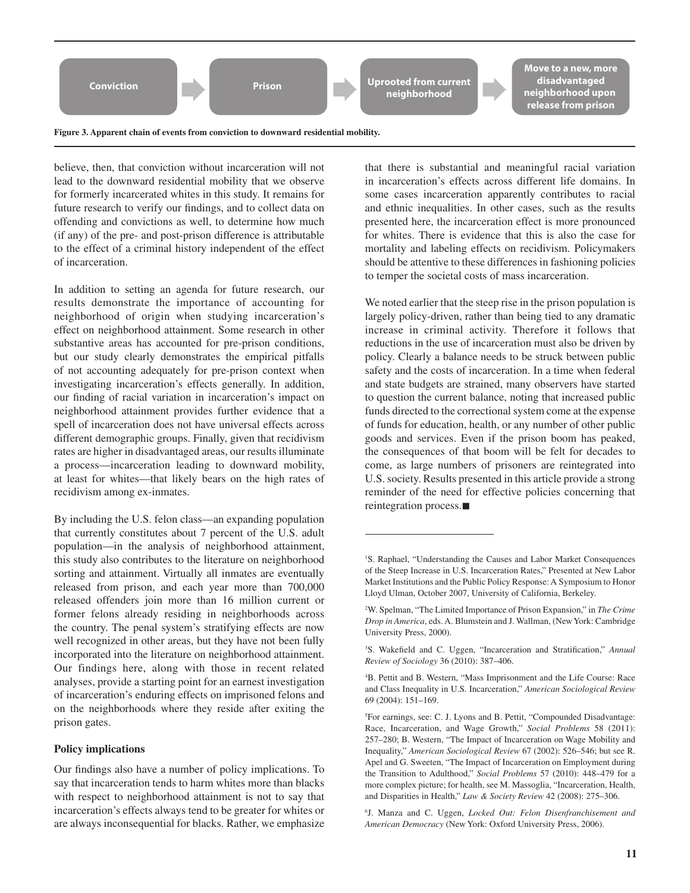

**Figure 3. Apparent chain of events from conviction to downward residential mobility.**

believe, then, that conviction without incarceration will not lead to the downward residential mobility that we observe for formerly incarcerated whites in this study. It remains for future research to verify our findings, and to collect data on offending and convictions as well, to determine how much (if any) of the pre- and post-prison difference is attributable to the effect of a criminal history independent of the effect of incarceration.

In addition to setting an agenda for future research, our results demonstrate the importance of accounting for neighborhood of origin when studying incarceration's effect on neighborhood attainment. Some research in other substantive areas has accounted for pre-prison conditions, but our study clearly demonstrates the empirical pitfalls of not accounting adequately for pre-prison context when investigating incarceration's effects generally. In addition, our finding of racial variation in incarceration's impact on neighborhood attainment provides further evidence that a spell of incarceration does not have universal effects across different demographic groups. Finally, given that recidivism rates are higher in disadvantaged areas, our results illuminate a process—incarceration leading to downward mobility, at least for whites—that likely bears on the high rates of recidivism among ex-inmates.

By including the U.S. felon class—an expanding population that currently constitutes about 7 percent of the U.S. adult population—in the analysis of neighborhood attainment, this study also contributes to the literature on neighborhood sorting and attainment. Virtually all inmates are eventually released from prison, and each year more than 700,000 released offenders join more than 16 million current or former felons already residing in neighborhoods across the country. The penal system's stratifying effects are now well recognized in other areas, but they have not been fully incorporated into the literature on neighborhood attainment. Our findings here, along with those in recent related analyses, provide a starting point for an earnest investigation of incarceration's enduring effects on imprisoned felons and on the neighborhoods where they reside after exiting the prison gates.

#### **Policy implications**

Our findings also have a number of policy implications. To say that incarceration tends to harm whites more than blacks with respect to neighborhood attainment is not to say that incarceration's effects always tend to be greater for whites or are always inconsequential for blacks. Rather, we emphasize that there is substantial and meaningful racial variation in incarceration's effects across different life domains. In some cases incarceration apparently contributes to racial and ethnic inequalities. In other cases, such as the results presented here, the incarceration effect is more pronounced for whites. There is evidence that this is also the case for mortality and labeling effects on recidivism. Policymakers should be attentive to these differences in fashioning policies to temper the societal costs of mass incarceration.

We noted earlier that the steep rise in the prison population is largely policy-driven, rather than being tied to any dramatic increase in criminal activity. Therefore it follows that reductions in the use of incarceration must also be driven by policy. Clearly a balance needs to be struck between public safety and the costs of incarceration. In a time when federal and state budgets are strained, many observers have started to question the current balance, noting that increased public funds directed to the correctional system come at the expense of funds for education, health, or any number of other public goods and services. Even if the prison boom has peaked, the consequences of that boom will be felt for decades to come, as large numbers of prisoners are reintegrated into U.S. society. Results presented in this article provide a strong reminder of the need for effective policies concerning that  $reintegration process.$ 

<sup>&</sup>lt;sup>1</sup>S. Raphael, "Understanding the Causes and Labor Market Consequences of the Steep Increase in U.S. Incarceration Rates," Presented at New Labor Market Institutions and the Public Policy Response: A Symposium to Honor Lloyd Ulman, October 2007, University of California, Berkeley.

<sup>2</sup> W. Spelman, "The Limited Importance of Prison Expansion," in *The Crime Drop in America*, eds. A. Blumstein and J. Wallman, (New York: Cambridge University Press, 2000).

<sup>3</sup> S. Wakefield and C. Uggen, "Incarceration and Stratification," *Annual Review of Sociology* 36 (2010): 387–406.

<sup>4</sup> B. Pettit and B. Western, "Mass Imprisonment and the Life Course: Race and Class Inequality in U.S. Incarceration," *American Sociological Review* 69 (2004): 151–169.

<sup>&</sup>lt;sup>5</sup>For earnings, see: C. J. Lyons and B. Pettit, "Compounded Disadvantage: Race, Incarceration, and Wage Growth," *Social Problems* 58 (2011): 257–280; B. Western, "The Impact of Incarceration on Wage Mobility and Inequality," *American Sociological Review* 67 (2002): 526–546; but see R. Apel and G. Sweeten, "The Impact of Incarceration on Employment during the Transition to Adulthood," *Social Problems* 57 (2010): 448–479 for a more complex picture; for health, see M. Massoglia, "Incarceration, Health, and Disparities in Health," *Law & Society Review* 42 (2008): 275–306.

<sup>6</sup> J. Manza and C. Uggen, *Locked Out: Felon Disenfranchisement and American Democracy* (New York: Oxford University Press, 2006).